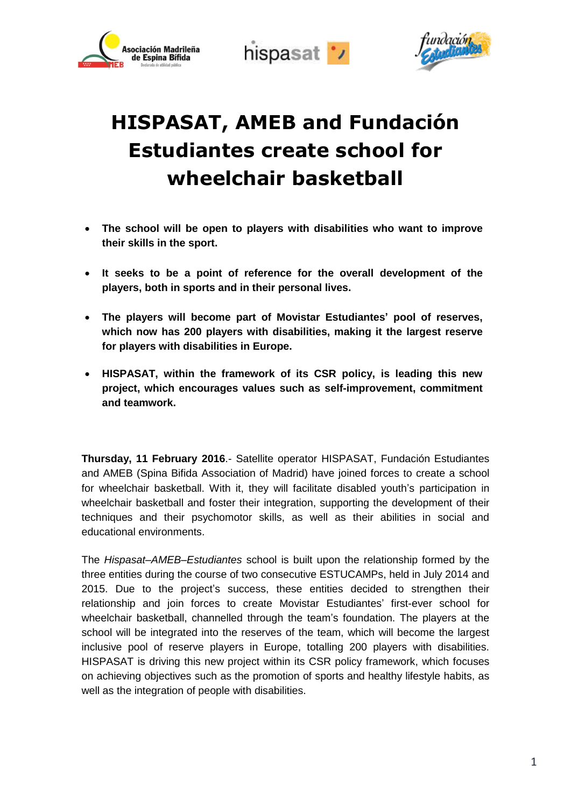





# **HISPASAT, AMEB and Fundación Estudiantes create school for wheelchair basketball**

- **The school will be open to players with disabilities who want to improve their skills in the sport.**
- **It seeks to be a point of reference for the overall development of the players, both in sports and in their personal lives.**
- **The players will become part of Movistar Estudiantes' pool of reserves, which now has 200 players with disabilities, making it the largest reserve for players with disabilities in Europe.**
- **HISPASAT, within the framework of its CSR policy, is leading this new project, which encourages values such as self-improvement, commitment and teamwork.**

**Thursday, 11 February 2016**.- Satellite operator HISPASAT, Fundación Estudiantes and AMEB (Spina Bifida Association of Madrid) have joined forces to create a school for wheelchair basketball. With it, they will facilitate disabled youth's participation in wheelchair basketball and foster their integration, supporting the development of their techniques and their psychomotor skills, as well as their abilities in social and educational environments.

The *Hispasat–AMEB–Estudiantes* school is built upon the relationship formed by the three entities during the course of two consecutive ESTUCAMPs, held in July 2014 and 2015. Due to the project's success, these entities decided to strengthen their relationship and join forces to create Movistar Estudiantes' first-ever school for wheelchair basketball, channelled through the team's foundation. The players at the school will be integrated into the reserves of the team, which will become the largest inclusive pool of reserve players in Europe, totalling 200 players with disabilities. HISPASAT is driving this new project within its CSR policy framework, which focuses on achieving objectives such as the promotion of sports and healthy lifestyle habits, as well as the integration of people with disabilities.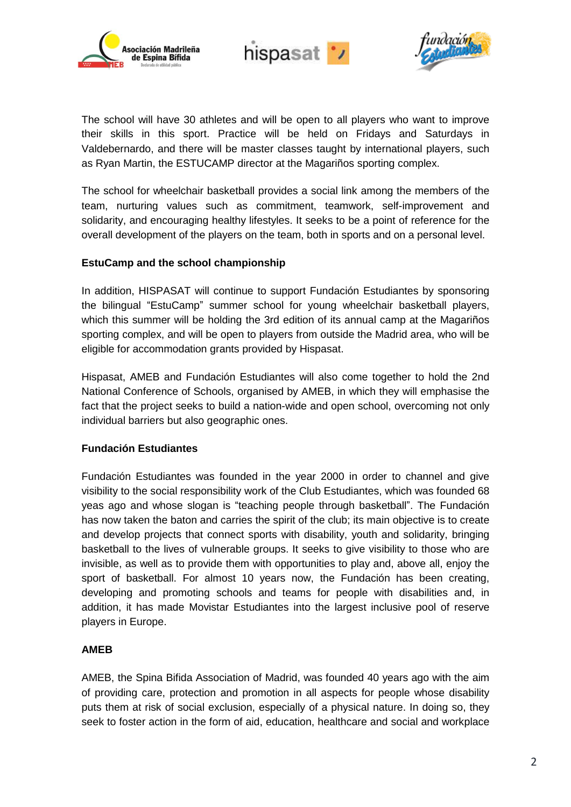





The school will have 30 athletes and will be open to all players who want to improve their skills in this sport. Practice will be held on Fridays and Saturdays in Valdebernardo, and there will be master classes taught by international players, such as Ryan Martin, the ESTUCAMP director at the Magariños sporting complex.

The school for wheelchair basketball provides a social link among the members of the team, nurturing values such as commitment, teamwork, self-improvement and solidarity, and encouraging healthy lifestyles. It seeks to be a point of reference for the overall development of the players on the team, both in sports and on a personal level.

## **EstuCamp and the school championship**

In addition, HISPASAT will continue to support Fundación Estudiantes by sponsoring the bilingual "EstuCamp" summer school for young wheelchair basketball players, which this summer will be holding the 3rd edition of its annual camp at the Magariños sporting complex, and will be open to players from outside the Madrid area, who will be eligible for accommodation grants provided by Hispasat.

Hispasat, AMEB and Fundación Estudiantes will also come together to hold the 2nd National Conference of Schools, organised by AMEB, in which they will emphasise the fact that the project seeks to build a nation-wide and open school, overcoming not only individual barriers but also geographic ones.

## **Fundación Estudiantes**

Fundación Estudiantes was founded in the year 2000 in order to channel and give visibility to the social responsibility work of the Club Estudiantes, which was founded 68 yeas ago and whose slogan is "teaching people through basketball". The Fundación has now taken the baton and carries the spirit of the club; its main objective is to create and develop projects that connect sports with disability, youth and solidarity, bringing basketball to the lives of vulnerable groups. It seeks to give visibility to those who are invisible, as well as to provide them with opportunities to play and, above all, enjoy the sport of basketball. For almost 10 years now, the Fundación has been creating, developing and promoting schools and teams for people with disabilities and, in addition, it has made Movistar Estudiantes into the largest inclusive pool of reserve players in Europe.

## **AMEB**

AMEB, the Spina Bifida Association of Madrid, was founded 40 years ago with the aim of providing care, protection and promotion in all aspects for people whose disability puts them at risk of social exclusion, especially of a physical nature. In doing so, they seek to foster action in the form of aid, education, healthcare and social and workplace